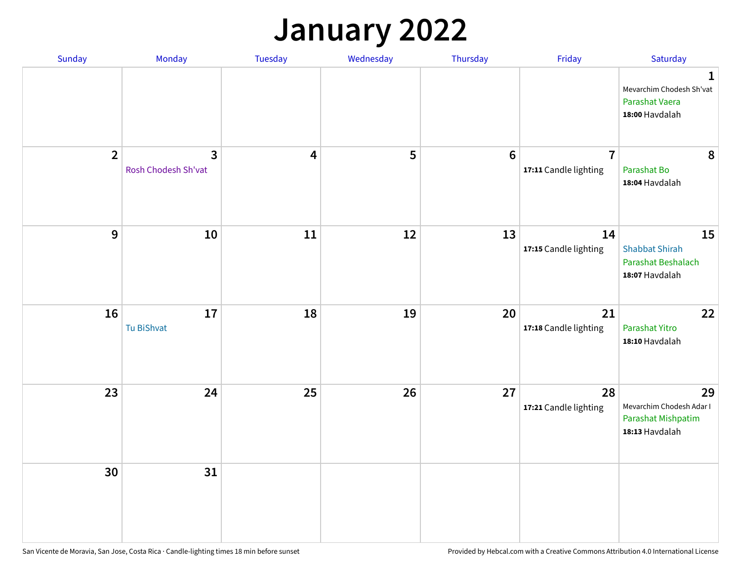## **January 2022**

| Sunday         | Monday                              | Tuesday | Wednesday | Thursday        | Friday                                  | Saturday                                                                    |
|----------------|-------------------------------------|---------|-----------|-----------------|-----------------------------------------|-----------------------------------------------------------------------------|
|                |                                     |         |           |                 |                                         | $\mathbf 1$<br>Mevarchim Chodesh Sh'vat<br>Parashat Vaera<br>18:00 Havdalah |
| $\overline{2}$ | $\mathbf{3}$<br>Rosh Chodesh Sh'vat | 4       | 5         | $6\phantom{1}6$ | $\overline{7}$<br>17:11 Candle lighting | 8<br>Parashat Bo<br>18:04 Havdalah                                          |
| $\mathbf{9}$   | ${\bf 10}$                          | 11      | 12        | 13              | 14<br>17:15 Candle lighting             | 15<br><b>Shabbat Shirah</b><br>Parashat Beshalach<br>18:07 Havdalah         |
| 16             | 17<br>Tu BiShvat                    | 18      | 19        | 20              | 21<br>17:18 Candle lighting             | 22<br>Parashat Yitro<br>18:10 Havdalah                                      |
| 23             | 24                                  | 25      | 26        | 27              | 28<br>17:21 Candle lighting             | 29<br>Mevarchim Chodesh Adar I<br>Parashat Mishpatim<br>18:13 Havdalah      |
| 30             | 31                                  |         |           |                 |                                         |                                                                             |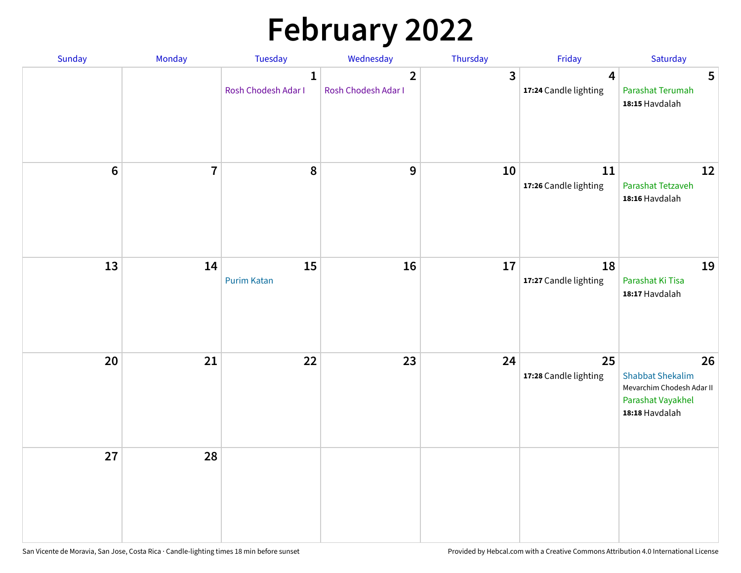# **February 2022**

| Sunday | <b>Monday</b>  | <b>Tuesday</b>                      | Wednesday                             | Thursday       | Friday                                           | Saturday                                                                                          |
|--------|----------------|-------------------------------------|---------------------------------------|----------------|--------------------------------------------------|---------------------------------------------------------------------------------------------------|
|        |                | $\mathbf{1}$<br>Rosh Chodesh Adar I | $\overline{2}$<br>Rosh Chodesh Adar I | $\overline{3}$ | $\overline{\mathbf{4}}$<br>17:24 Candle lighting | 5<br>Parashat Terumah<br>18:15 Havdalah                                                           |
| $6\,$  | $\overline{7}$ | 8                                   | $\mathbf{9}$                          | 10             | 11<br>17:26 Candle lighting                      | 12<br>Parashat Tetzaveh<br>18:16 Havdalah                                                         |
| 13     | 14             | 15<br><b>Purim Katan</b>            | 16                                    | 17             | 18<br>17:27 Candle lighting                      | 19<br>Parashat Ki Tisa<br>18:17 Havdalah                                                          |
| 20     | 21             | 22                                  | 23                                    | 24             | 25<br>17:28 Candle lighting                      | 26<br><b>Shabbat Shekalim</b><br>Mevarchim Chodesh Adar II<br>Parashat Vayakhel<br>18:18 Havdalah |
| 27     | 28             |                                     |                                       |                |                                                  |                                                                                                   |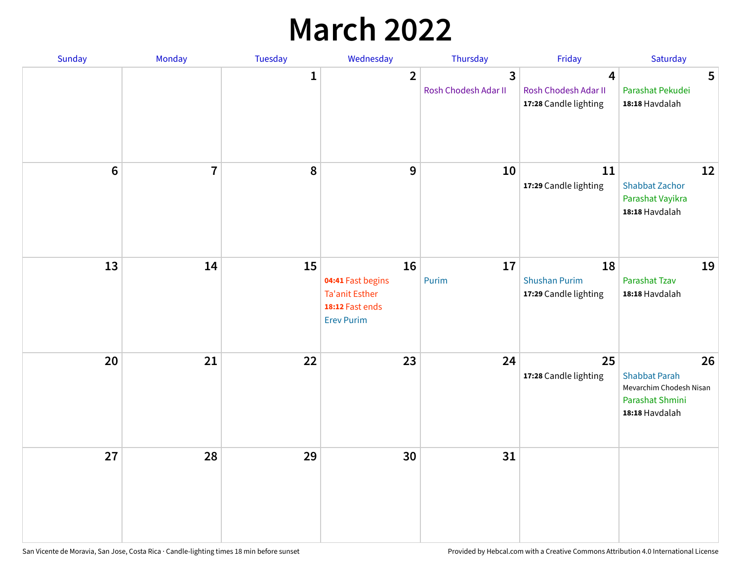## **March 2022**

| Sunday         | Monday         | Tuesday      | Wednesday                                                                                | Thursday                  | Friday                                              | Saturday                                                                                   |
|----------------|----------------|--------------|------------------------------------------------------------------------------------------|---------------------------|-----------------------------------------------------|--------------------------------------------------------------------------------------------|
|                |                | $\mathbf{1}$ | $\overline{2}$                                                                           | 3<br>Rosh Chodesh Adar II | 4<br>Rosh Chodesh Adar II<br>17:28 Candle lighting  | 5<br>Parashat Pekudei<br>18:18 Havdalah                                                    |
| $6\phantom{1}$ | $\overline{7}$ | 8            | $9$                                                                                      | 10                        | 11<br>17:29 Candle lighting                         | 12<br><b>Shabbat Zachor</b><br>Parashat Vayikra<br>18:18 Havdalah                          |
| 13             | 14             | 15           | 16<br>04:41 Fast begins<br><b>Ta'anit Esther</b><br>18:12 Fast ends<br><b>Erev Purim</b> | 17<br>Purim               | 18<br><b>Shushan Purim</b><br>17:29 Candle lighting | 19<br>Parashat Tzav<br>18:18 Havdalah                                                      |
| 20             | 21             | 22           | 23                                                                                       | 24                        | 25<br>17:28 Candle lighting                         | 26<br><b>Shabbat Parah</b><br>Mevarchim Chodesh Nisan<br>Parashat Shmini<br>18:18 Havdalah |
| 27             | 28             | 29           | 30                                                                                       | 31                        |                                                     |                                                                                            |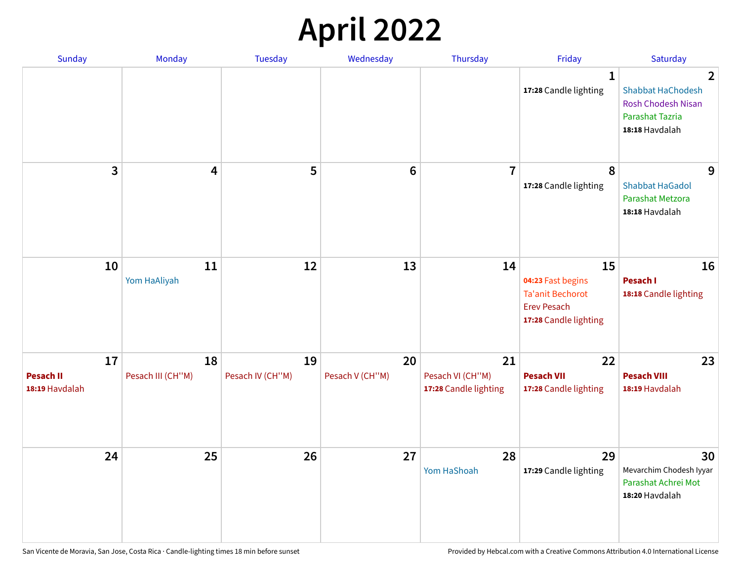## **April 2022**

| Sunday                                   | Monday                  | <b>Tuesday</b>         | Wednesday             | Thursday                                        | Friday                                                                                            | Saturday                                                                                        |
|------------------------------------------|-------------------------|------------------------|-----------------------|-------------------------------------------------|---------------------------------------------------------------------------------------------------|-------------------------------------------------------------------------------------------------|
|                                          |                         |                        |                       |                                                 | $\mathbf{1}$<br>17:28 Candle lighting                                                             | 2<br><b>Shabbat HaChodesh</b><br><b>Rosh Chodesh Nisan</b><br>Parashat Tazria<br>18:18 Havdalah |
| 3                                        | 4                       | 5                      | $6\phantom{1}6$       | $\overline{7}$                                  | 8<br>17:28 Candle lighting                                                                        | 9<br><b>Shabbat HaGadol</b><br>Parashat Metzora<br>18:18 Havdalah                               |
| 10                                       | 11<br>Yom HaAliyah      | 12                     | 13                    | 14                                              | 15<br>04:23 Fast begins<br><b>Ta'anit Bechorot</b><br><b>Erev Pesach</b><br>17:28 Candle lighting | 16<br>Pesach I<br>18:18 Candle lighting                                                         |
| 17<br><b>Pesach II</b><br>18:19 Havdalah | 18<br>Pesach III (CH"M) | 19<br>Pesach IV (CH"M) | 20<br>Pesach V (CH"M) | 21<br>Pesach VI (CH"M)<br>17:28 Candle lighting | 22<br><b>Pesach VII</b><br>17:28 Candle lighting                                                  | 23<br><b>Pesach VIII</b><br>18:19 Havdalah                                                      |
| 24                                       | 25                      | 26                     | 27                    | 28<br>Yom HaShoah                               | 29<br>17:29 Candle lighting                                                                       | 30<br>Mevarchim Chodesh Iyyar<br>Parashat Achrei Mot<br>18:20 Havdalah                          |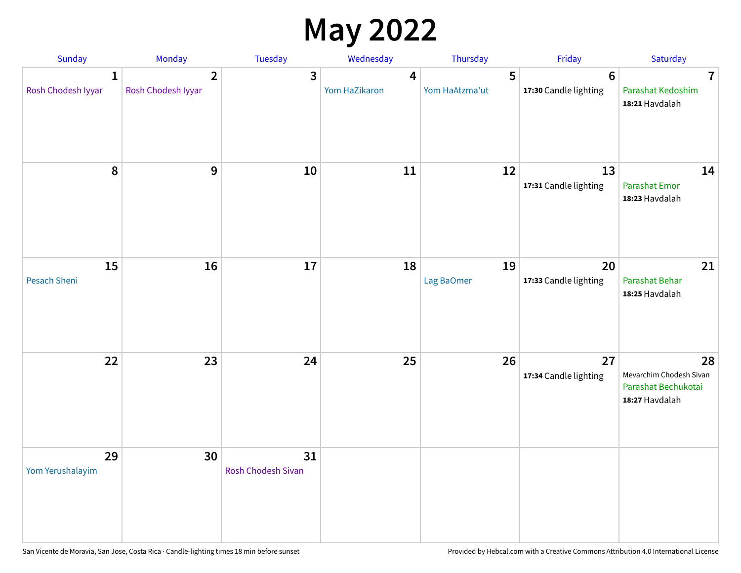## **May 2022**

| Sunday                             | Monday                               | Tuesday                         | Wednesday          | Thursday            | Friday                                  | Saturday                                                               |
|------------------------------------|--------------------------------------|---------------------------------|--------------------|---------------------|-----------------------------------------|------------------------------------------------------------------------|
| $\mathbf{1}$<br>Rosh Chodesh Iyyar | $\overline{2}$<br>Rosh Chodesh Iyyar | 3                               | 4<br>Yom HaZikaron | 5<br>Yom HaAtzma'ut | $6\phantom{1}$<br>17:30 Candle lighting | $\overline{7}$<br>Parashat Kedoshim<br>18:21 Havdalah                  |
| 8                                  | 9                                    | 10                              | 11                 | 12                  | 13<br>17:31 Candle lighting             | 14<br><b>Parashat Emor</b><br>18:23 Havdalah                           |
| 15<br>Pesach Sheni                 | 16                                   | 17                              | 18                 | 19<br>Lag BaOmer    | 20<br>17:33 Candle lighting             | 21<br>Parashat Behar<br>18:25 Havdalah                                 |
| 22                                 | 23                                   | 24                              | 25                 | 26                  | 27<br>17:34 Candle lighting             | 28<br>Mevarchim Chodesh Sivan<br>Parashat Bechukotai<br>18:27 Havdalah |
| 29<br>Yom Yerushalayim             | 30                                   | 31<br><b>Rosh Chodesh Sivan</b> |                    |                     |                                         |                                                                        |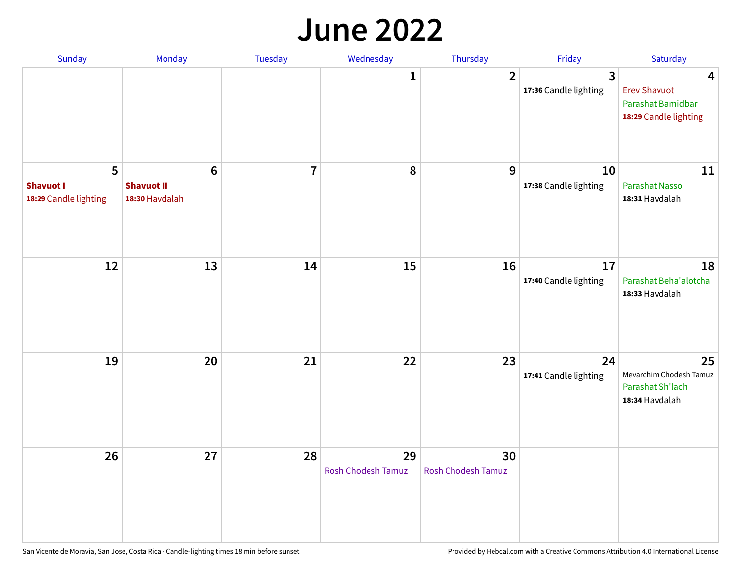#### **June 2022**

| Sunday                                         | Monday                                                | Tuesday        | Wednesday                       | Thursday                        | Friday                      | Saturday                                                               |
|------------------------------------------------|-------------------------------------------------------|----------------|---------------------------------|---------------------------------|-----------------------------|------------------------------------------------------------------------|
|                                                |                                                       |                | 1                               | $\overline{2}$                  | 3<br>17:36 Candle lighting  | 4<br><b>Erev Shavuot</b><br>Parashat Bamidbar<br>18:29 Candle lighting |
| 5<br><b>Shavuot I</b><br>18:29 Candle lighting | $6\phantom{1}$<br><b>Shavuot II</b><br>18:30 Havdalah | $\overline{7}$ | 8                               | 9                               | 10<br>17:38 Candle lighting | 11<br><b>Parashat Nasso</b><br>18:31 Havdalah                          |
| 12                                             | 13                                                    | 14             | 15                              | 16                              | 17<br>17:40 Candle lighting | 18<br>Parashat Beha'alotcha<br>18:33 Havdalah                          |
| 19                                             | 20                                                    | 21             | 22                              | 23                              | 24<br>17:41 Candle lighting | 25<br>Mevarchim Chodesh Tamuz<br>Parashat Sh'lach<br>18:34 Havdalah    |
| 26                                             | 27                                                    | 28             | 29<br><b>Rosh Chodesh Tamuz</b> | 30<br><b>Rosh Chodesh Tamuz</b> |                             |                                                                        |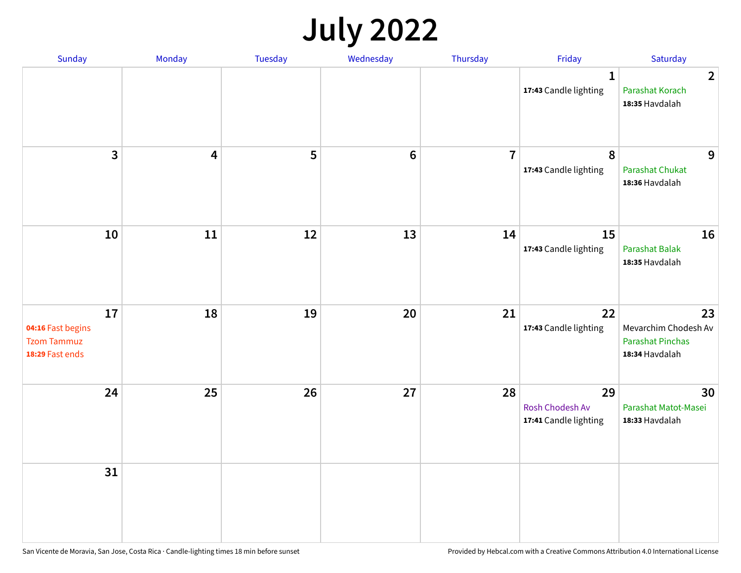## **July 2022**

| Sunday                                                           | Monday                  | Tuesday | Wednesday | Thursday       | Friday                                         | Saturday                                                                |
|------------------------------------------------------------------|-------------------------|---------|-----------|----------------|------------------------------------------------|-------------------------------------------------------------------------|
|                                                                  |                         |         |           |                | $\mathbf{1}$<br>17:43 Candle lighting          | $\overline{2}$<br>Parashat Korach<br>18:35 Havdalah                     |
| $\mathbf{3}$                                                     | $\overline{\mathbf{4}}$ | 5       | $\bf 6$   | $\overline{7}$ | $\pmb{8}$<br>17:43 Candle lighting             | 9<br>Parashat Chukat<br>18:36 Havdalah                                  |
| 10                                                               | 11                      | 12      | 13        | 14             | 15<br>17:43 Candle lighting                    | 16<br><b>Parashat Balak</b><br>18:35 Havdalah                           |
| 17<br>04:16 Fast begins<br><b>Tzom Tammuz</b><br>18:29 Fast ends | 18                      | 19      | 20        | 21             | 22<br>17:43 Candle lighting                    | 23<br>Mevarchim Chodesh Av<br><b>Parashat Pinchas</b><br>18:34 Havdalah |
| 24                                                               | 25                      | 26      | 27        | 28             | 29<br>Rosh Chodesh Av<br>17:41 Candle lighting | 30<br>Parashat Matot-Masei<br>18:33 Havdalah                            |
| 31                                                               |                         |         |           |                |                                                |                                                                         |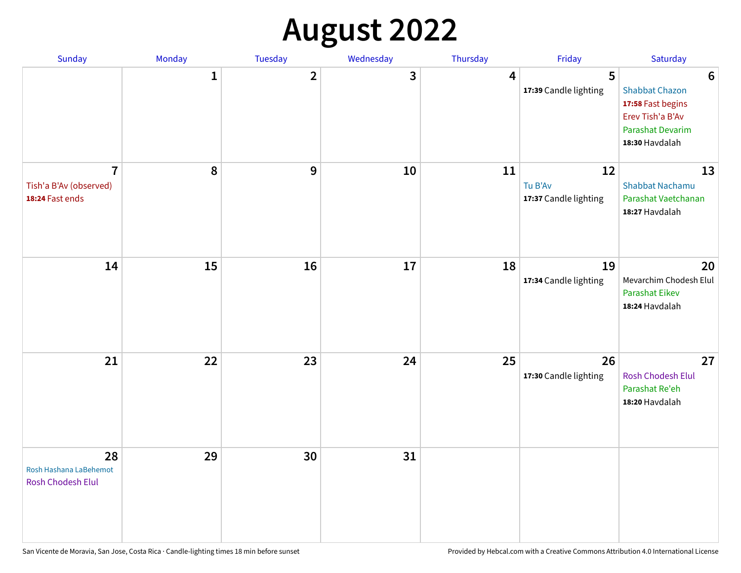## **August 2022**

| Sunday                                                      | Monday       | Tuesday      | Wednesday | Thursday | Friday                                 | Saturday                                                                                                                       |
|-------------------------------------------------------------|--------------|--------------|-----------|----------|----------------------------------------|--------------------------------------------------------------------------------------------------------------------------------|
|                                                             | $\mathbf{1}$ | $\mathbf{2}$ | 3         | 4        | 5<br>17:39 Candle lighting             | $6\phantom{1}6$<br><b>Shabbat Chazon</b><br>17:58 Fast begins<br>Erev Tish'a B'Av<br><b>Parashat Devarim</b><br>18:30 Havdalah |
| $\overline{7}$<br>Tish'a B'Av (observed)<br>18:24 Fast ends | 8            | 9            | 10        | 11       | 12<br>Tu B'Av<br>17:37 Candle lighting | 13<br><b>Shabbat Nachamu</b><br>Parashat Vaetchanan<br>18:27 Havdalah                                                          |
| 14                                                          | 15           | 16           | 17        | 18       | 19<br>17:34 Candle lighting            | 20<br>Mevarchim Chodesh Elul<br>Parashat Eikev<br>18:24 Havdalah                                                               |
| 21                                                          | 22           | 23           | 24        | 25       | 26<br>17:30 Candle lighting            | 27<br><b>Rosh Chodesh Elul</b><br>Parashat Re'eh<br>18:20 Havdalah                                                             |
| 28<br>Rosh Hashana LaBehemot<br>Rosh Chodesh Elul           | 29           | 30           | 31        |          |                                        |                                                                                                                                |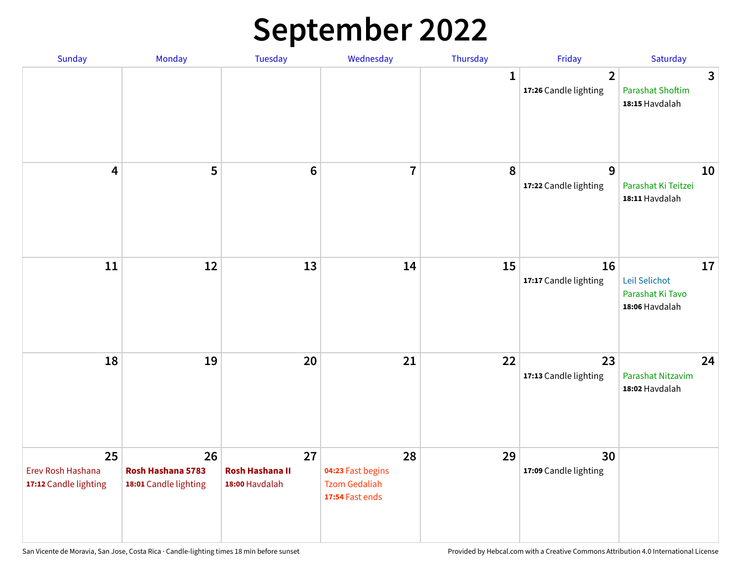## **September 2022**

| Sunday                                           | Monday                                           | <b>Tuesday</b>                                 | Wednesday                                                          | Thursday    | Friday                                  | Saturday                                                  |
|--------------------------------------------------|--------------------------------------------------|------------------------------------------------|--------------------------------------------------------------------|-------------|-----------------------------------------|-----------------------------------------------------------|
|                                                  |                                                  |                                                |                                                                    | $\mathbf 1$ | $\overline{2}$<br>17:26 Candle lighting | 3<br><b>Parashat Shoftim</b><br>18:15 Havdalah            |
| $\overline{\mathbf{4}}$                          | 5                                                | $6\phantom{1}6$                                | $\overline{7}$                                                     | 8           | 9<br>17:22 Candle lighting              | 10<br>Parashat Ki Teitzei<br>18:11 Havdalah               |
| 11                                               | 12                                               | 13                                             | 14                                                                 | 15          | 16<br>17:17 Candle lighting             | 17<br>Leil Selichot<br>Parashat Ki Tavo<br>18:06 Havdalah |
| 18                                               | 19                                               | 20                                             | 21                                                                 | 22          | 23<br>17:13 Candle lighting             | 24<br>Parashat Nitzavim<br>18:02 Havdalah                 |
| 25<br>Erev Rosh Hashana<br>17:12 Candle lighting | 26<br>Rosh Hashana 5783<br>18:01 Candle lighting | 27<br><b>Rosh Hashana II</b><br>18:00 Havdalah | 28<br>04:23 Fast begins<br><b>Tzom Gedaliah</b><br>17:54 Fast ends | 29          | 30<br>17:09 Candle lighting             |                                                           |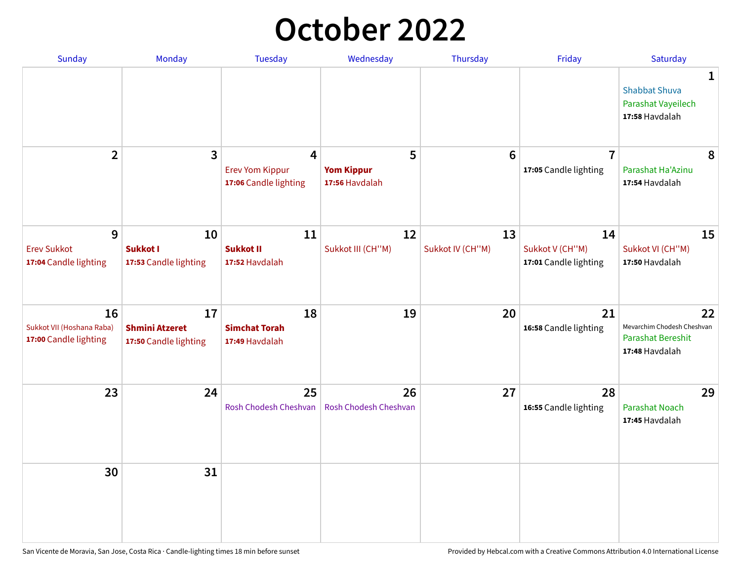## **October 2022**

| <b>Sunday</b>                                            | Monday                                               | <b>Tuesday</b>                                       | Wednesday                                | Thursday               | Friday                                         | Saturday                                                                |
|----------------------------------------------------------|------------------------------------------------------|------------------------------------------------------|------------------------------------------|------------------------|------------------------------------------------|-------------------------------------------------------------------------|
|                                                          |                                                      |                                                      |                                          |                        |                                                | 1<br><b>Shabbat Shuva</b><br>Parashat Vayeilech<br>17:58 Havdalah       |
| $\overline{2}$                                           | 3                                                    | 4<br><b>Erev Yom Kippur</b><br>17:06 Candle lighting | 5<br><b>Yom Kippur</b><br>17:56 Havdalah | 6                      | $\overline{7}$<br>17:05 Candle lighting        | 8<br>Parashat Ha'Azinu<br>17:54 Havdalah                                |
| 9<br><b>Erev Sukkot</b><br>17:04 Candle lighting         | 10<br><b>Sukkot I</b><br>17:53 Candle lighting       | 11<br><b>Sukkot II</b><br>17:52 Havdalah             | 12<br>Sukkot III (CH"M)                  | 13<br>Sukkot IV (CH"M) | 14<br>Sukkot V (CH"M)<br>17:01 Candle lighting | 15<br>Sukkot VI (CH"M)<br>17:50 Havdalah                                |
| 16<br>Sukkot VII (Hoshana Raba)<br>17:00 Candle lighting | 17<br><b>Shmini Atzeret</b><br>17:50 Candle lighting | 18<br><b>Simchat Torah</b><br>17:49 Havdalah         | 19                                       | 20                     | 21<br>16:58 Candle lighting                    | 22<br>Mevarchim Chodesh Cheshvan<br>Parashat Bereshit<br>17:48 Havdalah |
| 23                                                       | 24                                                   | 25<br>Rosh Chodesh Cheshvan                          | 26<br><b>Rosh Chodesh Cheshvan</b>       | 27                     | 28<br>16:55 Candle lighting                    | 29<br><b>Parashat Noach</b><br>17:45 Havdalah                           |
| 30                                                       | 31                                                   |                                                      |                                          |                        |                                                |                                                                         |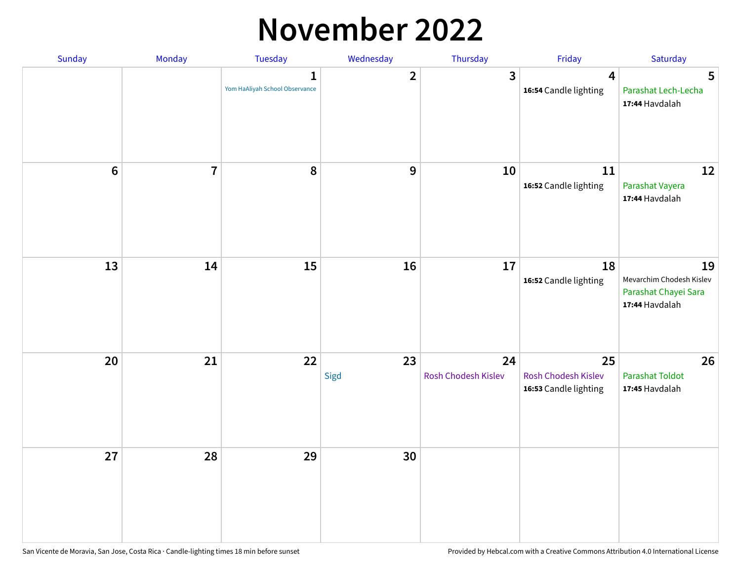#### **November 2022**

| Sunday         | Monday         | Tuesday                                        | Wednesday      | Thursday                  | Friday                                             | Saturday                                                                 |
|----------------|----------------|------------------------------------------------|----------------|---------------------------|----------------------------------------------------|--------------------------------------------------------------------------|
|                |                | $\mathbf{1}$<br>Yom HaAliyah School Observance | $\overline{2}$ | 3                         | $\overline{4}$<br>16:54 Candle lighting            | $5\phantom{1}$<br>Parashat Lech-Lecha<br>17:44 Havdalah                  |
| $6\phantom{1}$ | $\overline{7}$ | 8                                              | 9              | 10                        | 11<br>16:52 Candle lighting                        | 12<br>Parashat Vayera<br>17:44 Havdalah                                  |
| 13             | 14             | 15                                             | 16             | 17                        | 18<br>16:52 Candle lighting                        | 19<br>Mevarchim Chodesh Kislev<br>Parashat Chayei Sara<br>17:44 Havdalah |
| 20             | 21             | 22                                             | 23<br>Sigd     | 24<br>Rosh Chodesh Kislev | 25<br>Rosh Chodesh Kislev<br>16:53 Candle lighting | 26<br><b>Parashat Toldot</b><br>17:45 Havdalah                           |
| 27             | 28             | 29                                             | 30             |                           |                                                    |                                                                          |